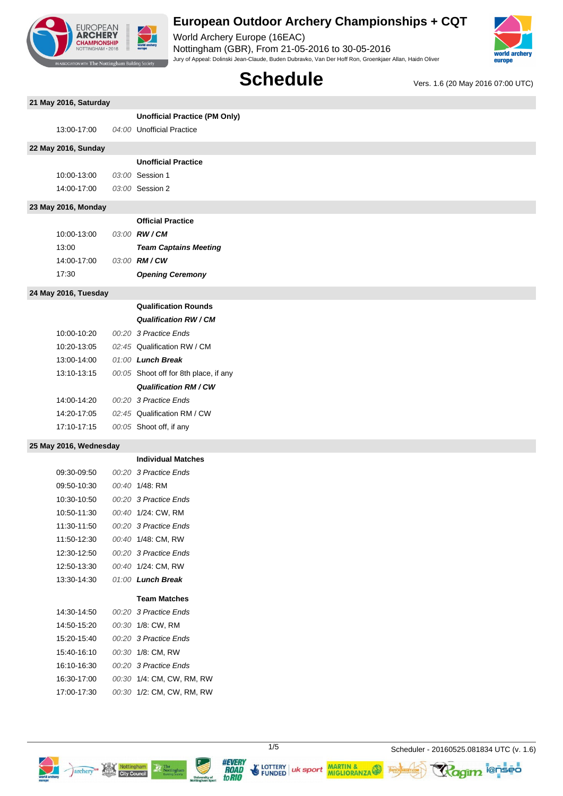

World Archery Europe (16EAC) Nottingham (GBR), From 21-05-2016 to 30-05-2016 Jury of Appeal: Dolinski Jean-Claude, Buden Dubravko, Van Der Hoff Ron, Groenkjaer Allan, Haidn Oliver



**Schedule** Vers. 1.6 (20 May 2016 07:00 UTC)

#### **21 May 2016, Saturday**

|             | <b>Unofficial Practice (PM Only)</b> |
|-------------|--------------------------------------|
| 13:00-17:00 | 04:00 Unofficial Practice            |

# **22 May 2016, Sunday Unofficial Practice** 10:00-13:00 03:00 Session 1 14:00-17:00 03:00 Session 2 **23 May 2016, Monday Official Practice**

| 10:00-13:00 | 03:00 RW/CM                  |
|-------------|------------------------------|
| 13:00       | <b>Team Captains Meeting</b> |
| 14:00-17:00 | 03:00 RM/CW                  |
| 17:30       | <b>Opening Ceremony</b>      |

#### **24 May 2016, Tuesday**

|             | <b>Qualification Rounds</b>           |
|-------------|---------------------------------------|
|             | <b>Qualification RW / CM</b>          |
| 10:00-10:20 | 00:20 3 Practice Ends                 |
| 10:20-13:05 | 02:45 Qualification RW / CM           |
| 13:00-14:00 | 01:00 Lunch Break                     |
| 13:10-13:15 | 00:05 Shoot off for 8th place, if any |
|             | <b>Qualification RM/CW</b>            |
| 14:00-14:20 | 00:20 3 Practice Ends                 |
| 14:20-17:05 | 02:45 Qualification RM / CW           |
| 17:10-17:15 | 00:05 Shoot off, if any               |

#### **25 May 2016, Wednesday**

|             | <b>Individual Matches</b> |
|-------------|---------------------------|
| 09:30-09:50 | 00:20 3 Practice Ends     |
| 09:50-10:30 | 00:40 1/48: RM            |
| 10:30-10:50 | 00:20 3 Practice Ends     |
| 10:50-11:30 | 00:40 1/24: CW, RM        |
| 11:30-11:50 | 00:20 3 Practice Ends     |
| 11:50-12:30 | 00:40 1/48: CM, RW        |
| 12:30-12:50 | 00:20 3 Practice Ends     |
| 12:50-13:30 | 00:40 1/24: CM, RW        |
| 13:30-14:30 | 01:00 <b>Lunch Break</b>  |
|             | <b>Team Matches</b>       |
| 14:30-14:50 | 00:20 3 Practice Ends     |
| 14:50-15:20 | 00:30 1/8: CW, RM         |
| 15:20-15:40 | 00:20 3 Practice Ends     |
| 15.40-16.10 | 00:30 1/8: CM, RW         |
| 16.10-16.30 | 00:20 3 Practice Ends     |
| 16:30-17:00 | 00:30 1/4: CM, CW, RM, RW |
| 17:00-17:30 | 00:30 1/2: CM, CW, RM, RW |



LOTTERY | uk sport MARTIN &

**#EVERY** 

**ROAD to RIO** 



**Ragim <sup>i@nses</sup>**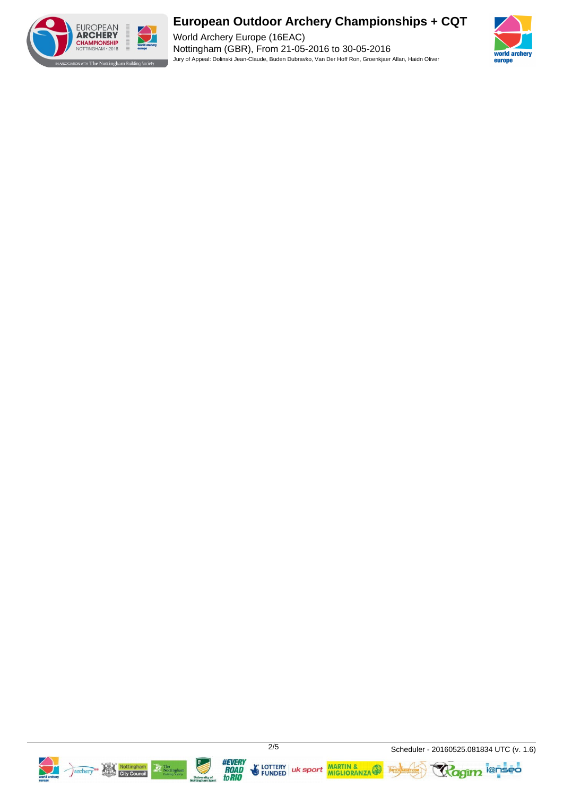

World Archery Europe (16EAC) Nottingham (GBR), From 21-05-2016 to 30-05-2016 Jury of Appeal: Dolinski Jean-Claude, Buden Dubravko, Van Der Hoff Ron, Groenkjaer Allan, Haidn Oliver



E LOTTERY | uk sport MARTIN &

**#EVERY<br>ROAD<br>toRIO** 

archery<sup>es</sup> Nottingham



**Ragim** lenses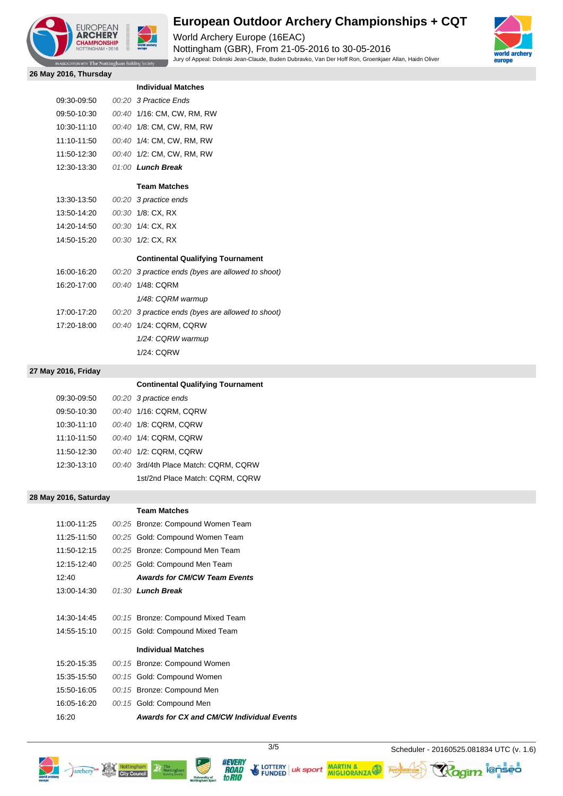

World Archery Europe (16EAC) Nottingham (GBR), From 21-05-2016 to 30-05-2016 Jury of Appeal: Dolinski Jean-Claude, Buden Dubravko, Van Der Hoff Ron, Groenkjaer Allan, Haidn Oliver



#### **26 May 2016, Thursday**

|                     | <b>Individual Matches</b>                         |
|---------------------|---------------------------------------------------|
| 09:30-09:50         | 00:20 3 Practice Ends                             |
| 09:50-10:30         | 00:40 1/16: CM, CW, RM, RW                        |
| 10:30-11:10         | 00:40 1/8: CM, CW, RM, RW                         |
| 11:10-11:50         | 00:40 1/4: CM, CW, RM, RW                         |
| 11:50-12:30         | 00:40 1/2: CM, CW, RM, RW                         |
| 12:30-13:30         | 01:00 Lunch Break                                 |
|                     | <b>Team Matches</b>                               |
| 13:30-13:50         | 00:20 3 practice ends                             |
| 13:50-14:20         | 00:30 1/8: CX, RX                                 |
| 14:20-14:50         | 00:30 1/4: CX, RX                                 |
| 14:50-15:20         | 00:30 1/2: CX, RX                                 |
|                     |                                                   |
|                     | <b>Continental Qualifying Tournament</b>          |
| 16:00-16:20         | 00:20 3 practice ends (byes are allowed to shoot) |
| 16:20-17:00         | 00:40 1/48: CQRM                                  |
|                     | 1/48: CQRM warmup                                 |
| 17:00-17:20         | 00:20 3 practice ends (byes are allowed to shoot) |
| 17:20-18:00         | 00:40 1/24: CQRM, CQRW                            |
|                     | 1/24: CQRW warmup                                 |
|                     | 1/24: CORW                                        |
| 27 May 2016, Friday |                                                   |
|                     | <b>Continental Qualifying Tournament</b>          |
| 09:30-09:50         | 00:20 3 practice ends                             |

| 09:50-10:30 | 00:40 1/16: CQRM, CQRW                |
|-------------|---------------------------------------|
| 10:30-11:10 | 00:40 1/8: CQRM. CQRW                 |
| 11:10-11:50 | 00:40 1/4: CQRM. CQRW                 |
| 11:50-12:30 | 00:40 1/2: CQRM, CQRW                 |
| 12:30-13:10 | 00:40 3rd/4th Place Match: CQRM, CQRW |
|             | 1st/2nd Place Match: CQRM, CQRW       |

#### **28 May 2016, Saturday**

**Team Matches**

| 11:00-11:25 | 00:25 Bronze: Compound Women Team                |
|-------------|--------------------------------------------------|
| 11:25-11:50 | 00:25 Gold: Compound Women Team                  |
| 11:50-12:15 | 00:25 Bronze: Compound Men Team                  |
| 12:15-12:40 | 00:25 Gold: Compound Men Team                    |
| 12:40       | <b>Awards for CM/CW Team Events</b>              |
| 13:00-14:30 | 01:30 Lunch Break                                |
|             |                                                  |
| 14:30-14:45 | 00:15 Bronze: Compound Mixed Team                |
| 14:55-15:10 | 00:15 Gold: Compound Mixed Team                  |
|             | <b>Individual Matches</b>                        |
| 15:20-15:35 | 00:15 Bronze: Compound Women                     |
| 15:35-15:50 | 00:15 Gold: Compound Women                       |
| 15:50-16:05 | 00:15 Bronze: Compound Men                       |
| 16:05-16:20 | 00:15 Gold: Compound Men                         |
| 16:20       | <b>Awards for CX and CM/CW Individual Events</b> |



**E** LOTTERY | *uk sport* | MARTIN & **MARTIN & MIGLIORANZA** 

**#EVERY** 

**ROAD**<br>to **RIO** 



**Ragim** lenses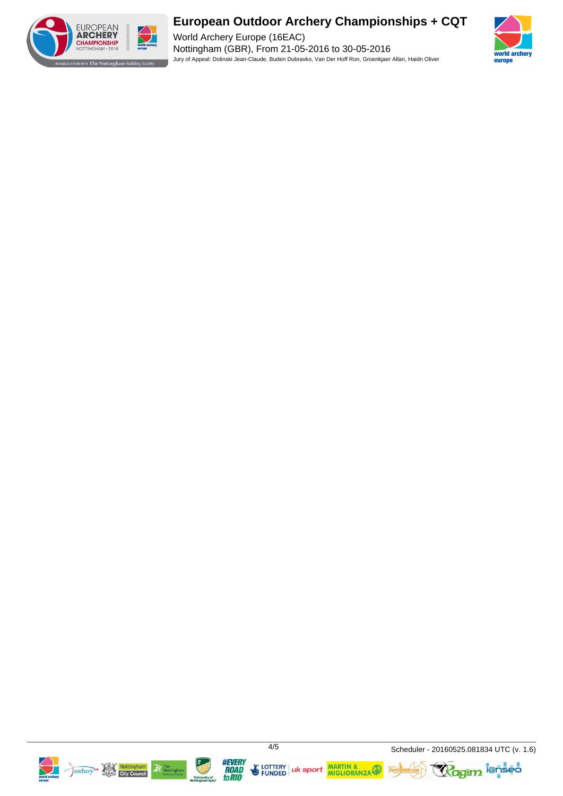

World Archery Europe (16EAC) Nottingham (GBR), From 21-05-2016 to 30-05-2016 Jury of Appeal: Dolinski Jean-Claude, Buden Dubravko, Van Der Hoff Ron, Groenkjaer Allan, Haidn Oliver





E LOTTERY | uk sport MARTIN &

**#EVERY<br>ROAD<br>toRIO** 



**Ragim** lenses